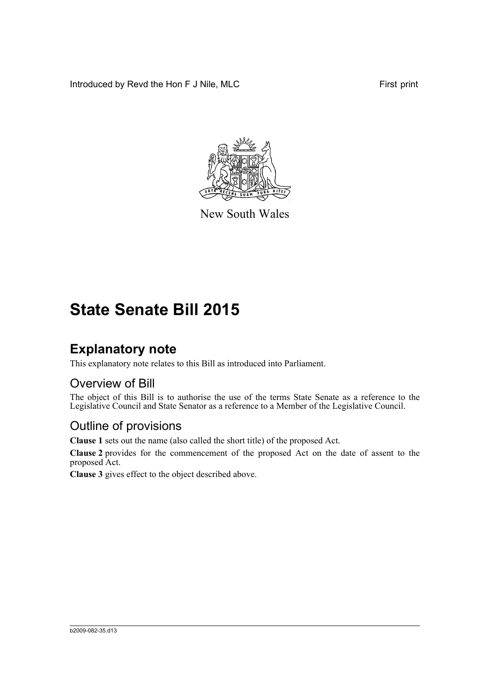Introduced by Revd the Hon F J Nile, MLC First print



New South Wales

# **State Senate Bill 2015**

## **Explanatory note**

This explanatory note relates to this Bill as introduced into Parliament.

### Overview of Bill

The object of this Bill is to authorise the use of the terms State Senate as a reference to the Legislative Council and State Senator as a reference to a Member of the Legislative Council.

### Outline of provisions

**Clause 1** sets out the name (also called the short title) of the proposed Act.

**Clause 2** provides for the commencement of the proposed Act on the date of assent to the proposed Act.

**Clause 3** gives effect to the object described above.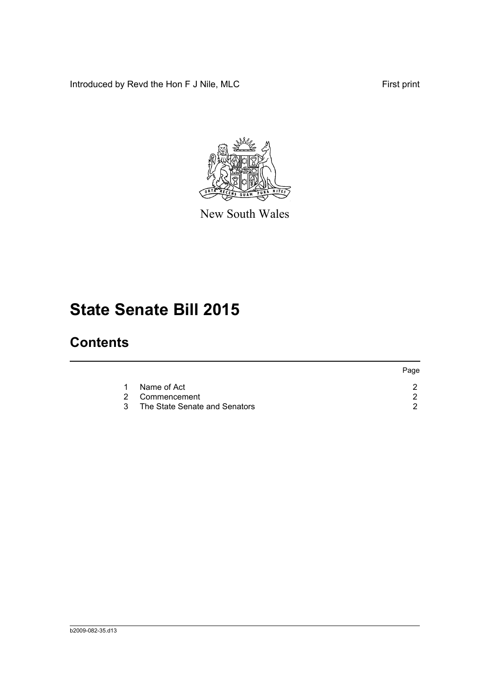Introduced by Revd the Hon F J Nile, MLC First print



New South Wales

# **State Senate Bill 2015**

## **Contents**

|           |                                 | Page |
|-----------|---------------------------------|------|
| $1 \quad$ | Name of Act                     |      |
|           | 2 Commencement                  |      |
|           | 3 The State Senate and Senators |      |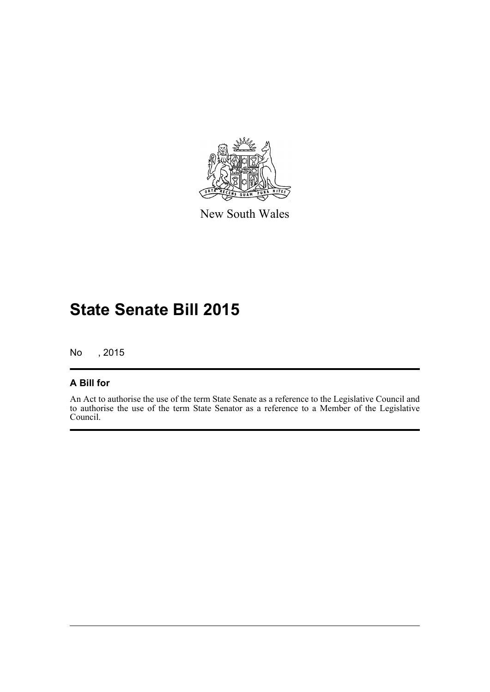

New South Wales

## **State Senate Bill 2015**

No , 2015

### **A Bill for**

An Act to authorise the use of the term State Senate as a reference to the Legislative Council and to authorise the use of the term State Senator as a reference to a Member of the Legislative Council.